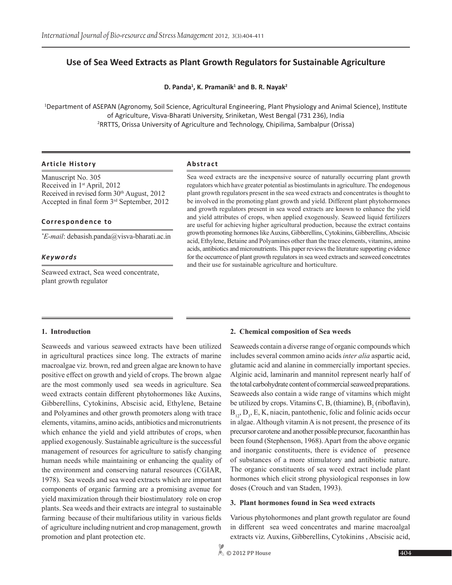# **Use of Sea Weed Extracts as Plant Growth Regulators for Sustainable Agriculture**

**D. Panda<sup>1</sup>, K. Pramanik<sup>1</sup> and B. R. Nayak<sup>2</sup>** 

1 Department of ASEPAN (Agronomy, Soil Science, Agricultural Engineering, Plant Physiology and Animal Science), Institute of Agriculture, Visva-Bharati University, Sriniketan, West Bengal (731 236), India <sup>2</sup>RRTTS, Orissa University of Agriculture and Technology, Chipilima, Sambalpur (Orissa)

#### **Article History Abstract**

Manuscript No. 305 Received in 1st April, 2012 Received in revised form  $30<sup>th</sup>$  August, 2012 Accepted in final form 3rd September, 2012

#### **Correspondence to**

*\* E-mail*: debasish.panda@visva-bharati.ac.in

#### *Keywords*

Seaweed extract, Sea weed concentrate, plant growth regulator

Sea weed extracts are the inexpensive source of naturally occurring plant growth regulators which have greater potential as biostimulants in agriculture. The endogenous plant growth regulators present in the sea weed extracts and concentrates is thought to be involved in the promoting plant growth and yield. Different plant phytohormones and growth regulators present in sea weed extracts are known to enhance the yield and yield attributes of crops, when applied exogenously. Seaweed liquid fertilizers are useful for achieving higher agricultural production, because the extract contains growth promoting hormones like Auxins, Gibberellins, Cytokinins, Gibberellins, Abscisic acid, Ethylene, Betaine and Polyamines other than the trace elements, vitamins, amino acids, antibiotics and micronutrients. This paper reviews the literature supporting evidence for the occurrence of plant growth regulators in sea weed extracts and seaweed concetrates and their use for sustainable agriculture and horticulture.

#### **1. Introduction**

Seaweeds and various seaweed extracts have been utilized in agricultural practices since long. The extracts of marine macroalgae viz*.* brown, red and green algae are known to have positive effect on growth and yield of crops. The brown algae are the most commonly used sea weeds in agriculture. Sea weed extracts contain different phytohormones like Auxins, Gibberellins, Cytokinins, Abscisic acid, Ethylene, Betaine and Polyamines and other growth promoters along with trace elements, vitamins, amino acids, antibiotics and micronutrients which enhance the yield and yield attributes of crops, when applied exogenously. Sustainable agriculture is the successful management of resources for agriculture to satisfy changing human needs while maintaining or enhancing the quality of the environment and conserving natural resources (CGIAR, 1978). Sea weeds and sea weed extracts which are important components of organic farming are a promising avenue for yield maximization through their biostimulatory role on crop plants. Sea weeds and their extracts are integral to sustainable farming because of their multifarious utility in various fields of agriculture including nutrient and crop management, growth promotion and plant protection etc.

#### **2. Chemical composition of Sea weeds**

Seaweeds contain a diverse range of organic compounds which includes several common amino acids *inter alia* aspartic acid, glutamic acid and alanine in commercially important species. Alginic acid, laminarin and mannitol represent nearly half of the total carbohydrate content of commercial seaweed preparations. Seaweeds also contain a wide range of vitamins which might be utilized by crops. Vitamins C, B, (thiamine),  $B_2$  (riboflavin),  $B_{12}$ ,  $D_3$ , E, K, niacin, pantothenic, folic and folinic acids occur in algae. Although vitamin A is not present, the presence of its precursor carotene and another possible precursor, fucoxanthin has been found (Stephenson, 1968). Apart from the above organic and inorganic constituents, there is evidence of presence of substances of a more stimulatory and antibiotic nature. The organic constituents of sea weed extract include plant hormones which elicit strong physiological responses in low doses (Crouch and van Staden, 1993).

#### **3. Plant hormones found in Sea weed extracts**

Various phytohormones and plant growth regulator are found in different sea weed concentrates and marine macroalgal extracts viz*.* Auxins, Gibberellins, Cytokinins , Abscisic acid,

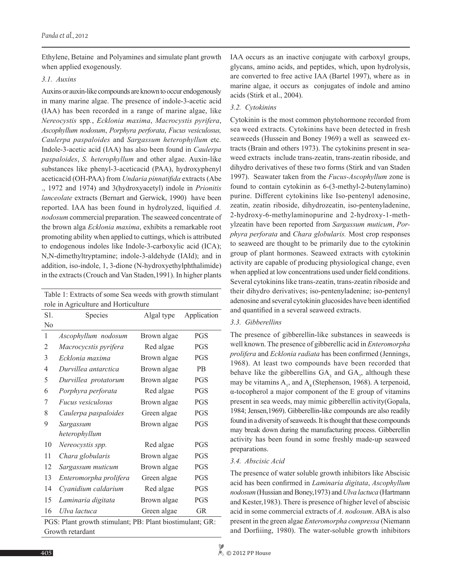Ethylene, Betaine and Polyamines and simulate plant growth when applied exogenously.

## *3.1. Auxins*

Auxins or auxin-like compounds are known to occur endogenously in many marine algae. The presence of indole-3-acetic acid (IAA) has been recorded in a range of marine algae, like *Nereocystis* spp*.*, *Ecklonia maxima*, *Macrocystis pyrifera*, *Ascophyllum nodosum*, *Porphyra perforata*, *Fucus vesiculosus, Caulerpa paspaloides* and *Sargassum heterophyllum* etc*.*  Indole-3-acetic acid (IAA) has also been found in *Caulerpa paspaloides*, *S. heterophyllum* and other algae. Auxin-like substances like phenyl-3-aceticacid (PAA), hydroxyphenyl aceticacid (OH-PAA) from *Undaria pinnatifida* extracts (Abe ., 1972 and 1974) and 3(hydroxyacetyl) indole in *Prionitis lanceolate* extracts (Bernart and Gerwick, 1990) have been reported. IAA has been found in hydrolyzed, liquified *A. nodosum* commercial preparation. The seaweed concentrate of the brown alga *Ecklonia maxima*, exhibits a remarkable root promoting ability when applied to cuttings, which is attributed to endogenous indoles like Indole-3-carboxylic acid (ICA); N,N-dimethyltryptamine; indole-3-aldehyde (IAId); and in addition, iso-indole, 1, 3-dione (N-hydroxyethylphthalimide) in the extracts (Crouch and Van Staden,1991). In higher plants

| Table 1: Extracts of some Sea weeds with growth stimulant |  |  |  |
|-----------------------------------------------------------|--|--|--|
| role in Agriculture and Horticulture                      |  |  |  |

| S1. | Species                  | Algal type  | Application |
|-----|--------------------------|-------------|-------------|
| No  |                          |             |             |
| 1   | Ascophyllum nodosum      | Brown algae | <b>PGS</b>  |
| 2   | Macrocycstis pyrifera    | Red algae   | <b>PGS</b>  |
| 3   | Ecklonia maxima          | Brown algae | <b>PGS</b>  |
| 4   | Durvillea antarctica     | Brown algae | <b>PB</b>   |
| 5   | Durvillea protatorum     | Brown algae | <b>PGS</b>  |
| 6   | Porphyra perforata       | Red algae   | <b>PGS</b>  |
| 7   | <i>Fucus vesiculosus</i> | Brown algae | <b>PGS</b>  |
| 8   | Caulerpa paspaloides     | Green algae | <b>PGS</b>  |
| 9   | Sargassum                | Brown algae | <b>PGS</b>  |
|     | heterophyllum            |             |             |
| 10  | Nereocystis spp.         | Red algae   | PGS         |
| 11  | Chara globularis         | Brown algae | <b>PGS</b>  |
| 12  | Sargassum muticum        | Brown algae | <b>PGS</b>  |
| 13  | Enteromorpha prolifera   | Green algae | <b>PGS</b>  |
| 14  | Cyanidium caldarium      | Red algae   | <b>PGS</b>  |
| 15  | Laminaria digitata       | Brown algae | <b>PGS</b>  |
| 16  | Ulva lactuca             | Green algae | GR          |

PGS: Plant growth stimulant; PB: Plant biostimulant; GR: Growth retardant

IAA occurs as an inactive conjugate with carboxyl groups, glycans, amino acids, and peptides, which, upon hydrolysis, are converted to free active IAA (Bartel 1997), where as in marine algae, it occurs as conjugates of indole and amino acids (Stirk et al., 2004).

# *3.2. Cytokinins*

Cytokinin is the most common phytohormone recorded from sea weed extracts. Cytokinins have been detected in fresh seaweeds (Hussein and Boney 1969) a well as seaweed extracts (Brain and others 1973). The cytokinins present in seaweed extracts include trans-zeatin, trans-zeatin riboside, and dihydro derivatives of these two forms (Stirk and van Staden 1997). Seawater taken from the *Fucus-Ascophyllum* zone is found to contain cytokinin as 6-(3-methyl-2-butenylamino) purine. Different cytokinins like Iso-pentenyl adenosine, zeatin, zeatin riboside, dihydrozeatin, iso-pentenyladenine, 2-hydroxy-6-methylaminopurine and 2-hydroxy-1-methylzeatin have been reported from *Sargassum muticum*, *Porphyra perforata* and *Chara globularis.* Most crop responses to seaweed are thought to be primarily due to the cytokinin group of plant hormones. Seaweed extracts with cytokinin activity are capable of producing physiological change, even when applied at low concentrations used under field conditions. Several cytokinins like trans-zeatin, trans-zeatin riboside and their dihydro derivatives; iso-pentenyladenine; iso-pentenyl adenosine and several cytokinin glucosides have been identified and quantified in a several seaweed extracts.

## *3.3. Gibberellins*

The presence of gibberellin-like substances in seaweeds is well known. The presence of gibberellic acid in *Enteromorpha prolifera* and *Ecklonia radiata* has been confirmed (Jennings, 1968). At least two compounds have been recorded that behave like the gibberellins  $GA_3$  and  $GA_7$ , although these may be vitamins  $A_1$ , and  $A_4$  (Stephenson, 1968). A terpenoid, α-tocopherol a major component of the E group of vitamins present in sea weeds, may mimic gibberellin activity(Gopala, 1984; Jensen,1969). Gibberellin-like compounds are also readily found in a diversity of seaweeds. It is thought that these compounds may break down during the manufacturing process. Gibberellin activity has been found in some freshly made-up seaweed preparations.

## *3.4. Abscisic Acid*

The presence of water soluble growth inhibitors like Abscisic acid has been confirmed in *Laminaria digitata*, *Ascophyllum nodosum* (Hussian and Boney,1973) and *Ulva lactuca* (Hartmann and Kester,1983). There is presence of higher level of abscisic acid in some commercial extracts of *A. nodosum*. ABA is also present in the green algae *Enteromorpha compressa* (Niemann and Dorfiiing, 1980). The water-soluble growth inhibitors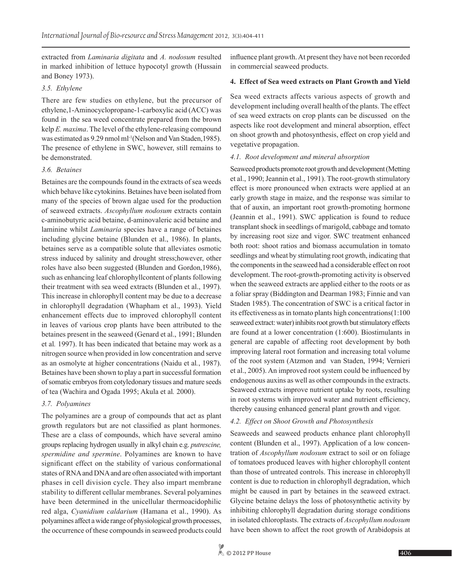extracted from *Laminaria digitata* and *A. nodosum* resulted in marked inhibition of lettuce hypocotyl growth (Hussain and Boney 1973).

## *3.5. Ethylene*

There are few studies on ethylene, but the precursor of ethylene,1-Aminocyclopropane-1-carboxylic acid (ACC) was found in the sea weed concentrate prepared from the brown kelp *E. maxima*. The level of the ethylene-releasing compound was estimated as 9.29 nmol ml<sup>-1</sup>(Nelson and Van Staden, 1985). The presence of ethylene in SWC, however, still remains to be demonstrated.

#### *3.6. Betaines*

Betaines are the compounds found in the extracts of sea weeds which behave like cytokinins. Betaines have been isolated from many of the species of brown algae used for the production of seaweed extracts. *Ascophyllum nodosum* extracts contain c-aminobutyric acid betaine, d-aminovaleric acid betaine and laminine whilst *Laminaria* species have a range of betaines including glycine betaine (Blunden et al., 1986). In plants, betaines serve as a compatible solute that alleviates osmotic stress induced by salinity and drought stress;however, other roles have also been suggested (Blunden and Gordon,1986), such as enhancing leaf chlorophyllcontent of plants following their treatment with sea weed extracts (Blunden et al., 1997). This increase in chlorophyll content may be due to a decrease in chlorophyll degradation (Whapham et al., 1993). Yield enhancement effects due to improved chlorophyll content in leaves of various crop plants have been attributed to the betaines present in the seaweed (Genard et al., 1991; Blunden et al*.* 1997). It has been indicated that betaine may work as a nitrogen source when provided in low concentration and serve as an osmolyte at higher concentrations (Naidu et al*.*, 1987). Betaines have been shown to play a part in successful formation of somatic embryos from cotyledonary tissues and mature seeds of tea (Wachira and Ogada 1995; Akula et al*.* 2000).

## *3.7. Polyamines*

The polyamines are a group of compounds that act as plant growth regulators but are not classified as plant hormones. These are a class of compounds, which have several amino groups replacing hydrogen usually in alkyl chain e.g. *putrescine, spermidine and spermine*. Polyamines are known to have significant effect on the stability of various conformational states of RNA and DNA and are often associated with important phases in cell division cycle. They also impart membrane stability to different cellular membranes. Several polyamines have been determined in the unicellular thermoacidophilic red alga, *Cyanidium caldarium* (Hamana et al., 1990). As polyamines affect a wide range of physiological growth processes, the occurrence of these compounds in seaweed products could influence plant growth. At present they have not been recorded in commercial seaweed products.

## **4. Effect of Sea weed extracts on Plant Growth and Yield**

Sea weed extracts affects various aspects of growth and development including overall health of the plants. The effect of sea weed extracts on crop plants can be discussed on the aspects like root development and mineral absorption, effect on shoot growth and photosynthesis, effect on crop yield and vegetative propagation.

## *4.1. Root development and mineral absorption*

Seaweed products promote root growth and development (Metting et al., 1990; Jeannin et al., 1991). The root-growth stimulatory effect is more pronounced when extracts were applied at an early growth stage in maize, and the response was similar to that of auxin, an important root growth-promoting hormone (Jeannin et al., 1991). SWC application is found to reduce transplant shock in seedlings of marigold, cabbage and tomato by increasing root size and vigor. SWC treatment enhanced both root: shoot ratios and biomass accumulation in tomato seedlings and wheat by stimulating root growth, indicating that the components in the seaweed had a considerable effect on root development. The root-growth-promoting activity is observed when the seaweed extracts are applied either to the roots or as a foliar spray (Biddington and Dearman 1983; Finnie and van Staden 1985). The concentration of SWC is a critical factor in its effectiveness as in tomato plants high concentrations(1:100 seaweed extract: water) inhibits root growth but stimulatory effects are found at a lower concentration (1:600). Biostimulants in general are capable of affecting root development by both improving lateral root formation and increasing total volume of the root system (Atzmon and van Staden, 1994; Vernieri et al., 2005). An improved root system could be influenced by endogenous auxins as well as other compounds in the extracts. Seaweed extracts improve nutrient uptake by roots, resulting in root systems with improved water and nutrient efficiency, thereby causing enhanced general plant growth and vigor.

## *4.2. Effect on Shoot Growth and Photosynthesis*

Seaweeds and seaweed products enhance plant chlorophyll content (Blunden et al., 1997). Application of a low concentration of *Ascophyllum nodosum* extract to soil or on foliage of tomatoes produced leaves with higher chlorophyll content than those of untreated controls. This increase in chlorophyll content is due to reduction in chlorophyll degradation, which might be caused in part by betaines in the seaweed extract. Glycine betaine delays the loss of photosynthetic activity by inhibiting chlorophyll degradation during storage conditions in isolated chloroplasts. The extracts of *Ascophyllum nodosum* have been shown to affect the root growth of Arabidopsis at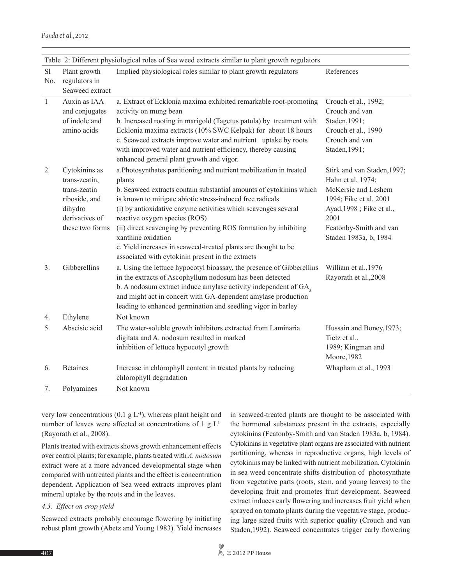(Rayorath et al., 2008).

*4.3. Effect on crop yield*

very low concentrations  $(0.1 \text{ g L}^{-1})$ , whereas plant height and number of leaves were affected at concentrations of 1 g  $L<sup>1</sup>$ 

Plants treated with extracts shows growth enhancement effects over control plants; for example, plants treated with *A. nodosum* extract were at a more advanced developmental stage when compared with untreated plants and the effect is concentration dependent. Application of Sea weed extracts improves plant

Seaweed extracts probably encourage flowering by initiating

mineral uptake by the roots and in the leaves.

cytokinins (Featonby-Smith and van Staden 1983a, b, 1984). Cytokinins in vegetative plant organs are associated with nutrient partitioning, whereas in reproductive organs, high levels of cytokinins may be linked with nutrient mobilization. Cytokinin in sea weed concentrate shifts distribution of photosynthate from vegetative parts (roots, stem, and young leaves) to the developing fruit and promotes fruit development. Seaweed extract induces early flowering and increases fruit yield when sprayed on tomato plants during the vegetative stage, producing large sized fruits with superior quality (Crouch and van Staden,1992). Seaweed concentrates trigger early flowering

in seaweed-treated plants are thought to be associated with the hormonal substances present in the extracts, especially

| Table 2: Different physiological roles of Sea weed extracts similar to plant growth regulators |                                |                                                                                                                     |                                                  |
|------------------------------------------------------------------------------------------------|--------------------------------|---------------------------------------------------------------------------------------------------------------------|--------------------------------------------------|
| S1<br>No.                                                                                      | Plant growth<br>regulators in  | Implied physiological roles similar to plant growth regulators                                                      | References                                       |
|                                                                                                | Seaweed extract                |                                                                                                                     |                                                  |
| $\mathbf{1}$                                                                                   | Auxin as IAA                   | a. Extract of Ecklonia maxima exhibited remarkable root-promoting                                                   | Crouch et al., 1992;                             |
|                                                                                                | and conjugates                 | activity on mung bean                                                                                               | Crouch and van                                   |
|                                                                                                | of indole and                  | b. Increased rooting in marigold (Tagetus patula) by treatment with                                                 | Staden, 1991;                                    |
|                                                                                                | amino acids                    | Ecklonia maxima extracts (10% SWC Kelpak) for about 18 hours                                                        | Crouch et al., 1990                              |
|                                                                                                |                                | c. Seaweed extracts improve water and nutrient uptake by roots                                                      | Crouch and van                                   |
|                                                                                                |                                | with improved water and nutrient efficiency, thereby causing                                                        | Staden, 1991;                                    |
|                                                                                                |                                | enhanced general plant growth and vigor.                                                                            |                                                  |
| 2                                                                                              | Cytokinins as<br>trans-zeatin, | a. Photosynthates partitioning and nutrient mobilization in treated<br>plants                                       | Stirk and van Staden, 1997;<br>Hahn et al, 1974; |
|                                                                                                | trans-zeatin                   | b. Seaweed extracts contain substantial amounts of cytokinins which                                                 | McKersie and Leshem                              |
|                                                                                                | riboside, and                  | is known to mitigate abiotic stress-induced free radicals                                                           | 1994; Fike et al. 2001                           |
|                                                                                                | dihydro                        | (i) by antioxidative enzyme activities which scavenges several                                                      | Ayad, 1998; Fike et al.,                         |
|                                                                                                | derivatives of                 | reactive oxygen species (ROS)                                                                                       | 2001                                             |
|                                                                                                | these two forms                | (ii) direct scavenging by preventing ROS formation by inhibiting                                                    | Featonby-Smith and van                           |
|                                                                                                |                                | xanthine oxidation                                                                                                  | Staden 1983a, b, 1984                            |
|                                                                                                |                                | c. Yield increases in seaweed-treated plants are thought to be<br>associated with cytokinin present in the extracts |                                                  |
| 3.                                                                                             | Gibberellins                   | a. Using the lettuce hypocotyl bioassay, the presence of Gibberellins                                               | William et al., 1976                             |
|                                                                                                |                                | in the extracts of Ascophyllum nodosum has been detected                                                            | Rayorath et al., 2008                            |
|                                                                                                |                                | b. A nodosum extract induce amylase activity independent of $GA3$                                                   |                                                  |
|                                                                                                |                                | and might act in concert with GA-dependent amylase production                                                       |                                                  |
|                                                                                                |                                | leading to enhanced germination and seedling vigor in barley                                                        |                                                  |
| 4.                                                                                             | Ethylene                       | Not known                                                                                                           |                                                  |
| 5.                                                                                             | Abscisic acid                  | The water-soluble growth inhibitors extracted from Laminaria                                                        | Hussain and Boney, 1973;                         |
|                                                                                                |                                | digitata and A. nodosum resulted in marked                                                                          | Tietz et al.,                                    |
|                                                                                                |                                | inhibition of lettuce hypocotyl growth                                                                              | 1989; Kingman and                                |
|                                                                                                |                                |                                                                                                                     | Moore, 1982                                      |
| 6.                                                                                             | <b>Betaines</b>                | Increase in chlorophyll content in treated plants by reducing                                                       | Whapham et al., 1993                             |
|                                                                                                |                                | chlorophyll degradation                                                                                             |                                                  |
| 7.                                                                                             | Polvamines                     | Not known                                                                                                           |                                                  |

*Panda et al.,* 2012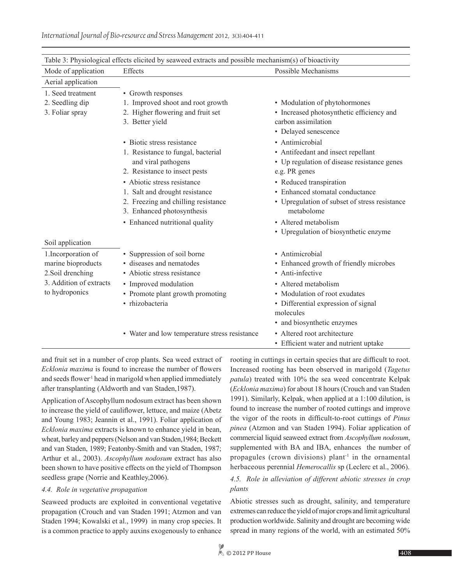| Table 3: Physiological effects elicited by seaweed extracts and possible mechanism(s) of bioactivity |                                                                   |                                                             |  |  |
|------------------------------------------------------------------------------------------------------|-------------------------------------------------------------------|-------------------------------------------------------------|--|--|
| Mode of application                                                                                  | Effects                                                           | Possible Mechanisms                                         |  |  |
| Aerial application                                                                                   |                                                                   |                                                             |  |  |
| 1. Seed treatment                                                                                    | • Growth responses                                                |                                                             |  |  |
| 2. Seedling dip                                                                                      | 1. Improved shoot and root growth                                 | • Modulation of phytohormones                               |  |  |
| 3. Foliar spray                                                                                      | 2. Higher flowering and fruit set                                 | • Increased photosynthetic efficiency and                   |  |  |
|                                                                                                      | 3. Better yield                                                   | carbon assimilation                                         |  |  |
|                                                                                                      |                                                                   | • Delayed senescence                                        |  |  |
|                                                                                                      | • Biotic stress resistance                                        | • Antimicrobial                                             |  |  |
|                                                                                                      | 1. Resistance to fungal, bacterial                                | • Antifeedant and insect repellant                          |  |  |
|                                                                                                      | and viral pathogens                                               | • Up regulation of disease resistance genes                 |  |  |
|                                                                                                      | 2. Resistance to insect pests                                     | e.g. PR genes                                               |  |  |
|                                                                                                      | • Abiotic stress resistance                                       | • Reduced transpiration                                     |  |  |
|                                                                                                      | 1. Salt and drought resistance                                    | • Enhanced stomatal conductance                             |  |  |
|                                                                                                      | 2. Freezing and chilling resistance<br>3. Enhanced photosynthesis | • Upregulation of subset of stress resistance<br>metabolome |  |  |
|                                                                                                      | • Enhanced nutritional quality                                    | • Altered metabolism                                        |  |  |
|                                                                                                      |                                                                   | • Upregulation of biosynthetic enzyme                       |  |  |
| Soil application                                                                                     |                                                                   |                                                             |  |  |
| 1. Incorporation of                                                                                  | • Suppression of soil borne                                       | • Antimicrobial                                             |  |  |
| marine bioproducts                                                                                   | • diseases and nematodes                                          | • Enhanced growth of friendly microbes                      |  |  |
| 2. Soil drenching                                                                                    | • Abiotic stress resistance                                       | • Anti-infective                                            |  |  |
| 3. Addition of extracts                                                                              | • Improved modulation                                             | • Altered metabolism                                        |  |  |
| to hydroponics                                                                                       | • Promote plant growth promoting                                  | • Modulation of root exudates                               |  |  |
|                                                                                                      | · rhizobacteria                                                   | • Differential expression of signal                         |  |  |
|                                                                                                      |                                                                   | molecules                                                   |  |  |
|                                                                                                      |                                                                   | • and biosynthetic enzymes                                  |  |  |
|                                                                                                      | • Water and low temperature stress resistance                     | • Altered root architecture                                 |  |  |
|                                                                                                      |                                                                   | • Efficient water and nutrient uptake                       |  |  |

and fruit set in a number of crop plants. Sea weed extract of *Ecklonia maxima* is found to increase the number of flowers and seeds flower<sup>1</sup> head in marigold when applied immediately after transplanting (Aldworth and van Staden,1987).

Application of Ascophyllum nodosum extract has been shown to increase the yield of cauliflower, lettuce, and maize (Abetz and Young 1983; Jeannin et al., 1991). Foliar application of *Ecklonia maxima* extracts is known to enhance yield in bean, wheat, barley and peppers (Nelson and van Staden,1984; Beckett and van Staden, 1989; Featonby-Smith and van Staden, 1987; Arthur et al., 2003). *Ascophyllum nodosum* extract has also been shown to have positive effects on the yield of Thompson seedless grape (Norrie and Keathley,2006).

## *4.4. Role in vegetative propagation*

Seaweed products are exploited in conventional vegetative propagation (Crouch and van Staden 1991; Atzmon and van Staden 1994; Kowalski et al., 1999) in many crop species. It is a common practice to apply auxins exogenously to enhance rooting in cuttings in certain species that are difficult to root. Increased rooting has been observed in marigold (*Tagetus patula*) treated with 10% the sea weed concentrate Kelpak (*Ecklonia maxima*) for about 18 hours (Crouch and van Staden 1991). Similarly, Kelpak, when applied at a 1:100 dilution, is found to increase the number of rooted cuttings and improve the vigor of the roots in difficult-to-root cuttings of *Pinus pinea* (Atzmon and van Staden 1994). Foliar application of commercial liquid seaweed extract from *Ascophyllum nodosum*, supplemented with BA and IBA, enhances the number of propagules (crown divisions) plant<sup>-1</sup> in the ornamental herbaceous perennial *Hemerocallis* sp (Leclerc et al., 2006).

## *4.5. Role in alleviation of different abiotic stresses in crop plants*

Abiotic stresses such as drought, salinity, and temperature extremes can reduce the yield of major crops and limit agricultural production worldwide. Salinity and drought are becoming wide spread in many regions of the world, with an estimated 50%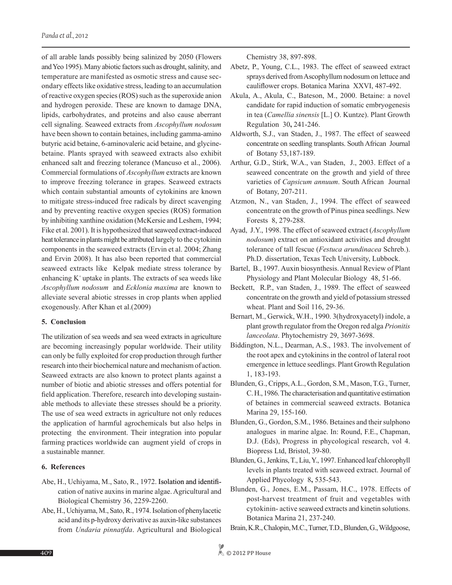of all arable lands possibly being salinized by 2050 (Flowers and Yeo 1995). Many abiotic factors such as drought, salinity, and temperature are manifested as osmotic stress and cause secondary effects like oxidative stress, leading to an accumulation of reactive oxygen species (ROS) such as the superoxide anion and hydrogen peroxide. These are known to damage DNA, lipids, carbohydrates, and proteins and also cause aberrant cell signaling. Seaweed extracts from *Ascophyllum nodosum* have been shown to contain betaines, including gamma-amino butyric acid betaine, 6-aminovaleric acid betaine, and glycinebetaine. Plants sprayed with seaweed extracts also exhibit enhanced salt and freezing tolerance (Mancuso et al., 2006). Commercial formulations of *Ascophyllum* extracts are known to improve freezing tolerance in grapes. Seaweed extracts which contain substantial amounts of cytokinins are known to mitigate stress-induced free radicals by direct scavenging and by preventing reactive oxygen species (ROS) formation by inhibiting xanthine oxidation (McKersie and Leshem, 1994; Fike et al. 2001). It is hypothesized that seaweed extract-induced heat tolerance in plants might be attributed largely to the cytokinin components in the seaweed extracts (Ervin et al. 2004; Zhang and Ervin 2008). It has also been reported that commercial seaweed extracts like Kelpak mediate stress tolerance by enhancing  $K^+$  uptake in plants. The extracts of sea weeds like *Ascophyllum nodosum* and *Ecklonia maxima* are known to alleviate several abiotic stresses in crop plants when applied exogenously. After Khan et al.(2009)

#### **5. Conclusion**

The utilization of sea weeds and sea weed extracts in agriculture are becoming increasingly popular worldwide. Their utility can only be fully exploited for crop production through further research into their biochemical nature and mechanism of action. Seaweed extracts are also known to protect plants against a number of biotic and abiotic stresses and offers potential for field application. Therefore, research into developing sustainable methods to alleviate these stresses should be a priority. The use of sea weed extracts in agriculture not only reduces the application of harmful agrochemicals but also helps in protecting the environment. Their integration into popular farming practices worldwide can augment yield of crops in a sustainable manner.

#### **6. References**

- Abe, H., Uchiyama, M., Sato, R., 1972. Isolation and identification of native auxins in marine algae. Agricultural and Biological Chemistry 36, 2259-2260.
- Abe, H., Uchiyama, M., Sato, R., 1974. Isolation of phenylacetic acid and its p-hydroxy derivative as auxin-like substances from *Undaria pinnatfda*. Agricultural and Biological

Chemistry 38, 897-898.

- Abetz, P., Young, C.L., 1983. The effect of seaweed extract sprays derived from Ascophyllum nodosum on lettuce and cauliflower crops. Botanica Marina XXVI, 487-492.
- Akula, A., Akula, C., Bateson, M., 2000. Betaine: a novel candidate for rapid induction of somatic embryogenesis in tea (*Camellia sinensis* [L.] O. Kuntze). Plant Growth Regulation 30**,** 241-246.
- Aldworth, S.J., van Staden, J., 1987. The effect of seaweed concentrate on seedling transplants. South African Journal of Botany 53,187-189.
- Arthur, G.D., Stirk, W.A., van Staden, J., 2003. Effect of a seaweed concentrate on the growth and yield of three varieties of *Capsicum annuum*. South African Journal of Botany, 207-211.
- Atzmon, N., van Staden, J., 1994. The effect of seaweed concentrate on the growth of Pinus pinea seedlings. New Forests 8, 279-288.
- Ayad, J.Y., 1998. The effect of seaweed extract (*Ascophyllum nodosum*) extract on antioxidant activities and drought tolerance of tall fescue (*Festuca arundinacea* Schreb.). Ph.D. dissertation, Texas Tech University, Lubbock.
- Bartel, B., 1997. Auxin biosynthesis. Annual Review of Plant Physiology and Plant Molecular Biology 48, 51-66.
- Beckett, R.P., van Staden, J., 1989. The effect of seaweed concentrate on the growth and yield of potassium stressed wheat. Plant and Soil 116, 29-36.
- Bernart, M., Gerwick, W.H., 1990. 3(hydroxyacetyl) indole, a plant growth regulator from the Oregon red alga *Prionitis lanceolata*. Phytochemistry 29, 3697-3698.
- Biddington, N.L., Dearman, A.S., 1983. The involvement of the root apex and cytokinins in the control of lateral root emergence in lettuce seedlings. Plant Growth Regulation 1, 183-193.
- Blunden, G., Cripps, A.L., Gordon, S.M., Mason, T.G., Turner, C. H., 1986. The characterisation and quantitative estimation of betaines in commercial seaweed extracts. Botanica Marina 29, 155-160.
- Blunden, G., Gordon, S.M., 1986. Betaines and their sulphono analogues in marine algae. In: Round, F.E., Chapman, D.J. (Eds), Progress in phycological research, vol 4. Biopress Ltd, Bristol, 39-80.
- Blunden, G., Jenkins, T., Liu, Y., 1997. Enhanced leaf chlorophyll levels in plants treated with seaweed extract. Journal of Applied Phycology 8**,** 535-543.
- Blunden, G., Jones, E.M., Passam, H.C., 1978. Effects of post-harvest treatment of fruit and vegetables with cytokinin- active seaweed extracts and kinetin solutions. Botanica Marina 21, 237-240.
- Brain, K.R., Chalopin, M.C., Turner, T.D., Blunden, G., Wildgoose,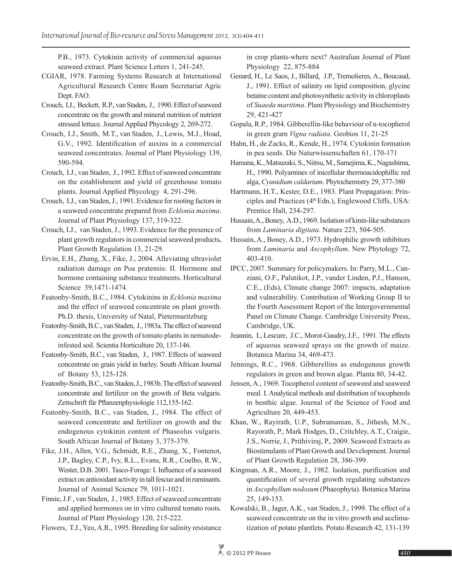P.B., 1973. Cytokinin activity of commercial aqueous seaweed extract. Plant Science Letters 1, 241-245.

- CGIAR, 1978. Farming Systems Research at International Agricultural Research Centre Roam Secretariat Agric Dept. FAO.
- Crouch, I.J., Beckett, R.P., van Staden, J., 1990. Effect of seaweed concentrate on the growth and mineral nutrition of nutrient stressed lettuce. Journal Applied Phycology 2, 269-272.
- Crouch, I.J., Smith, M.T., van Staden, J., Lewis, M.J., Hoad, G.V., 1992. Identification of auxins in a commercial seaweed concentrates. Journal of Plant Physiology 139, 590-594.
- Crouch, I.J., van Staden, J., 1992. Effect of seaweed concentrate on the establishment and yield of greenhouse tomato plants. Journal Applied Phycology 4, 291-296.
- Crouch, I.J., van Staden, J., 1991. Evidence for rooting factors in a seaweed concentrate prepared from *Ecklonia maxima*. Journal of Plant Physiology 137, 319-322.
- Crouch, I.J., van Staden, J., 1993. Evidence for the presence of plant growth regulators in commercial seaweed products**.**  Plant Growth Regulation 13, 21-29.
- Ervin, E.H., Zhang, X., Fike, J., 2004. Alleviating ultraviolet radiation damage on Poa pratensis: II. Hormone and hormone containing substance treatments. Horticultural Science 39,1471-1474.
- Featonby-Smith, B.C., 1984. Cytokinins in *Ecklonia maxima* and the effect of seaweed concentrate on plant growth. Ph.D. thesis, University of Natal, Pietermaritzburg
- Featonby-Smith, B.C., van Staden, J., 1983a. The effect of seaweed concentrate on the growth of tomato plants in nematodeinfested soil. Scientia Horticulture 20, 137-146.
- Featonby-Smith, B.C., van Staden, J., 1987. Effects of seaweed concentrate on grain yield in barley. South African Journal of Botany 53, 125-128.
- Featonby-Smith, B.C., van Staden, J., 1983b. The effect of seaweed concentrate and fertilizer on the growth of Beta vulgaris. Zeitschrift für Pflanzenphysiologie 112,155-162.
- Featonby-Smith, B.C., van Staden, J., 1984. The effect of seaweed concentrate and fertilizer on growth and the endogenous cytokinin content of Phaseolus vulgaris. South African Journal of Botany 3, 375-379.
- Fike, J.H., Allen, V.G., Schmidt, R.E., Zhang, X., Fontenot, J.P., Bagley, C.P., Ivy, R.L., Evans, R.R., Coelho, R.W., Wester, D.B. 2001. Tasco-Forage: I. Influence of a seaweed extract on antioxidant activity in tall fescue and in ruminants. Journal of Animal Science 79, 1011-1021.
- Finnie, J.F., van Staden, J., 1985. Effect of seaweed concentrate and applied hormones on in vitro cultured tomato roots. Journal of Plant Physiology 120, 215-222.

Flowers, T.J., Yeo, A.R., 1995. Breeding for salinity resistance

in crop plants-where next? Australian Journal of Plant Physiology 22, 875-884

- Genard, H., Le Saos, J., Billard, J.P., Tremolieres, A., Boucaud, J., 1991. Effect of salinity on lipid composition, glycine betaine content and photosynthetic activity in chloroplasts of *Suaeda maritima*. Plant Physiology and Biochemistry 29, 421-427
- Gopala, R.P., 1984. Gibberellin-like behaviour of α-tocopherol in green gram *Vigna radiata*. Geobios 11, 21-25
- Hahn, H., de Zacks, R., Kende, H., 1974. Cytokinin formation in pea seeds. Die Naturwissenschaften 61, 170-171
- Hamana, K., Matsuzaki, S., Niitsu, M., Samejima, K., Nagashima, H., 1990. Polyamines of inicellular thermoacidophillic red alga, *Cyanidium caldarium*. Phytochemistry 29, 377-380
- Hartmann, H.T., Kester, D.E., 1983. Plant Propagation: Principles and Practices  $(4<sup>th</sup> Edn.)$ , Englewood Cliffs, USA: Prentice Hall, 234-297.
- Hussain, A., Boney, A.D., 1969. Isolation of kinin-like substances from *Laminaria digitata*. Nature 223, 504-505.
- Hussain, A., Boney, A.D., 1973. Hydrophilic growth inhibitors from *Laminaria* and *Ascophyllum*. New Phytology 72, 403-410.
- IPCC, 2007. Summary for policymakers. In: Parry, M.L., Canziani, O.F., Palutikot, J.P., vander Linden, P.J., Hanson, C.E., (Eds), Climate change 2007: impacts, adaptation and vulnerability. Contribution of Working Group II to the Fourth Assessment Report of the Intergovernmental Panel on Climate Change. Cambridge University Press, Cambridge, UK.
- Jeannin, I., Lescure, J.C., Morot-Gaudry, J.F., 1991. The effects of aqueous seaweed sprays on the growth of maize. Botanica Marina 34, 469-473.
- Jennings, R.C., 1968. Gibberellins as endogenous growth regulators in green and brown algae. Planta 80, 34-42.
- Jensen, A., 1969. Tocopherol content of seaweed and seaweed meal. I. Analytical methods and distribution of tocopherols in benthic algae. Journal of the Science of Food and Agriculture 20, 449-453.
- Khan, W., Rayirath, U.P., Subramanian, S., Jithesh, M.N., Rayorath, P., Mark Hodges, D., Critchley, A.T., Craigie, J.S., Norrie, J., Prithiviraj, P., 2009. Seaweed Extracts as Biostimulants of Plant Growth and Development. Journal of Plant Growth Regulation 28, 386-399.
- Kingman, A.R., Moore, J., 1982. Isolation, purification and quantification of several growth regulating substances in *Ascophyllum nodosum* (Phaeophyta). Botanica Marina 25, 149-153.
- Kowalski, B., Jager, A.K., van Staden, J., 1999. The effect of a seaweed concentrate on the in vitro growth and acclimatization of potato plantlets. Potato Research 42, 131-139